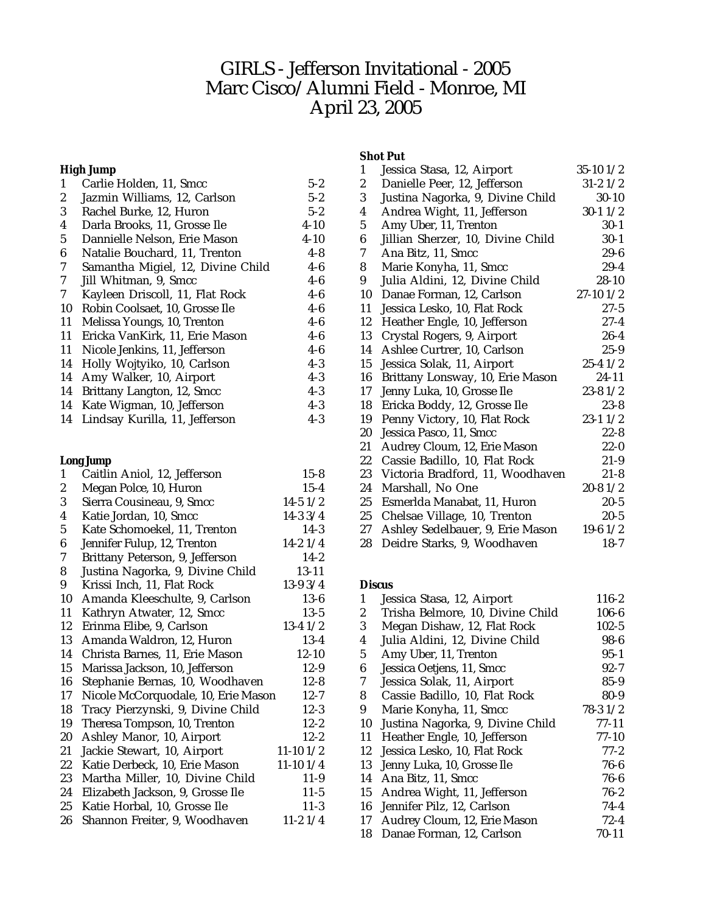# GIRLS - Jefferson Invitational - 2005 Marc Cisco/Alumni Field - Monroe, MI April 23, 2005

# **High Jump**

| 1  | Carlie Holden, 11, Smcc           | $5 - 2$  |
|----|-----------------------------------|----------|
| 2  | Jazmin Williams, 12, Carlson      | $5 - 2$  |
| 3  | Rachel Burke, 12, Huron           | $5 - 2$  |
| 4  | Darla Brooks, 11, Grosse Ile      | $4 - 10$ |
| 5  | Dannielle Nelson, Erie Mason      | $4 - 10$ |
| 6  | Natalie Bouchard, 11, Trenton     | $4 - 8$  |
| 7  | Samantha Migiel, 12, Divine Child | $4-6$    |
| 7  | Jill Whitman, 9, Smcc             | $4-6$    |
| 7  | Kayleen Driscoll, 11, Flat Rock   | $4 - 6$  |
| 10 | Robin Coolsaet, 10, Grosse Ile    | $4-6$    |
| 11 | Melissa Youngs, 10, Trenton       | $4 - 6$  |
| 11 | Ericka VanKirk, 11, Erie Mason    | $4 - 6$  |
| 11 | Nicole Jenkins, 11, Jefferson     | $4-6$    |
| 14 | Holly Wojtyiko, 10, Carlson       | $4 - 3$  |
| 14 | Amy Walker, 10, Airport           | $4 - 3$  |
| 14 | Brittany Langton, 12, Smcc        | $4 - 3$  |
| 14 | Kate Wigman, 10, Jefferson        | $4 - 3$  |
| 14 | Lindsay Kurilla, 11, Jefferson    | $4 - 3$  |

# **Long Jump**

| 1                | Caitlin Aniol, 12, Jefferson        | $15 - 8$      |
|------------------|-------------------------------------|---------------|
| $\boldsymbol{2}$ | Megan Polce, 10, Huron              | $15 - 4$      |
| 3                | Sierra Cousineau, 9, Smcc           | $14-5$ $1/2$  |
| 4                | Katie Jordan, 10, Smcc              | $14-33/4$     |
| 5                | Kate Schomoekel, 11, Trenton        | $14-3$        |
| 6                | Jennifer Fulup, 12, Trenton         | $14-21/4$     |
| 7                | Brittany Peterson, 9, Jefferson     | $14 - 2$      |
| 8                | Justina Nagorka, 9, Divine Child    | 13-11         |
| 9                | Krissi Inch, 11, Flat Rock          | $13-93/4$     |
| 10               | Amanda Kleeschulte, 9, Carlson      | $13-6$        |
| 11               | Kathryn Atwater, 12, Smcc           | $13 - 5$      |
| 12               | Erinma Elibe, 9, Carlson            | $13-41/2$     |
| 13               | Amanda Waldron, 12, Huron           | $13-4$        |
| 14               | Christa Barnes, 11, Erie Mason      | $12 - 10$     |
| 15               | Marissa Jackson, 10, Jefferson      | $12-9$        |
| 16               | Stephanie Bernas, 10, Woodhaven     | $12 - 8$      |
| 17               | Nicole McCorquodale, 10, Erie Mason | $12 - 7$      |
| 18               | Tracy Pierzynski, 9, Divine Child   | $12-3$        |
| 19               | Theresa Tompson, 10, Trenton        | $12 - 2$      |
| 20               | Ashley Manor, 10, Airport           | $12 - 2$      |
| 21               | Jackie Stewart, 10, Airport         | $11-10$ $1/2$ |
| 22               | Katie Derbeck, 10, Erie Mason       | $11-101/4$    |
| 23               | Martha Miller, 10, Divine Child     | $11-9$        |
| 24               | Elizabeth Jackson, 9, Grosse Ile    | $11 - 5$      |
| 25               | Katie Horbal, 10, Grosse Ile        | $11-3$        |
| 26               | Shannon Freiter, 9, Woodhaven       | $11-21/4$     |

### **Shot Put**

| 1                | Jessica Stasa, 12, Airport        | $35-10$ $1/2$ |
|------------------|-----------------------------------|---------------|
| $\boldsymbol{2}$ | Danielle Peer, 12, Jefferson      | $31 - 21/2$   |
| 3                | Justina Nagorka, 9, Divine Child  | $30 - 10$     |
| $\boldsymbol{4}$ | Andrea Wight, 11, Jefferson       | $30-11/2$     |
| $5\overline{)}$  | Amy Uber, 11, Trenton             | $30-1$        |
| 6                | Jillian Sherzer, 10, Divine Child | $30 - 1$      |
| 7                | Ana Bitz, 11, Smcc                | 29-6          |
| 8                | Marie Konyha, 11, Smcc            | $29 - 4$      |
| 9                | Julia Aldini, 12, Divine Child    | $28 - 10$     |
| 10               | Danae Forman, 12, Carlson         | $27-10$ $1/2$ |
| 11               | Jessica Lesko, 10, Flat Rock      | 27-5          |
| 12               | Heather Engle, 10, Jefferson      | $27 - 4$      |
| 13               | Crystal Rogers, 9, Airport        | $26 - 4$      |
| 14               | Ashlee Curtrer, 10, Carlson       | $25 - 9$      |
| 15               | Jessica Solak, 11, Airport        | $25 - 41/2$   |
| 16               | Brittany Lonsway, 10, Erie Mason  | 24-11         |
| 17               | Jenny Luka, 10, Grosse Ile        | $23 - 81/2$   |
| 18               | Ericka Boddy, 12, Grosse Ile      | $23 - 8$      |
| 19               | Penny Victory, 10, Flat Rock      | 23-11/2       |
| 20               | Jessica Pasco, 11, Smcc           | $22 - 8$      |
| 21               | Audrey Cloum, 12, Erie Mason      | $22 - 0$      |
| 22               | Cassie Badillo, 10, Flat Rock     | $21-9$        |
| 23               | Victoria Bradford, 11, Woodhaven  | $21 - 8$      |
| 24               | Marshall, No One                  | $20 - 81/2$   |
| 25               | Esmerlda Manabat, 11, Huron       | $20 - 5$      |
| 25               | Chelsae Village, 10, Trenton      | $20 - 5$      |
| 27               | Ashley Sedelbauer, 9, Erie Mason  | $19-6$ $1/2$  |
| 28               | Deidre Starks, 9, Woodhaven       | $18-7$        |

#### **Discus**

| 1  | Jessica Stasa, 12, Airport       | $116 - 2$ |
|----|----------------------------------|-----------|
| 2  | Trisha Belmore, 10, Divine Child | $106 - 6$ |
| 3  | Megan Dishaw, 12, Flat Rock      | $102 - 5$ |
| 4  | Julia Aldini, 12, Divine Child   | $98 - 6$  |
| 5  | Amy Uber, 11, Trenton            | $95 - 1$  |
| 6  | Jessica Oetjens, 11, Smcc        | $92 - 7$  |
| 7  | Jessica Solak, 11, Airport       | $85 - 9$  |
| 8  | Cassie Badillo, 10, Flat Rock    | $80 - 9$  |
| 9  | Marie Konyha, 11, Smcc           | $78-31/2$ |
| 10 | Justina Nagorka, 9, Divine Child | 77-11     |
| 11 | Heather Engle, 10, Jefferson     | $77-10$   |
| 12 | Jessica Lesko, 10, Flat Rock     | $77 - 2$  |
| 13 | Jenny Luka, 10, Grosse Ile       | $76 - 6$  |
| 14 | Ana Bitz, 11, Smcc               | $76-6$    |
| 15 | Andrea Wight, 11, Jefferson      | $76 - 2$  |
| 16 | Jennifer Pilz, 12, Carlson       | $74 - 4$  |
| 17 | Audrey Cloum, 12, Erie Mason     | $72 - 4$  |
| 18 | Danae Forman, 12, Carlson        | 70-11     |
|    |                                  |           |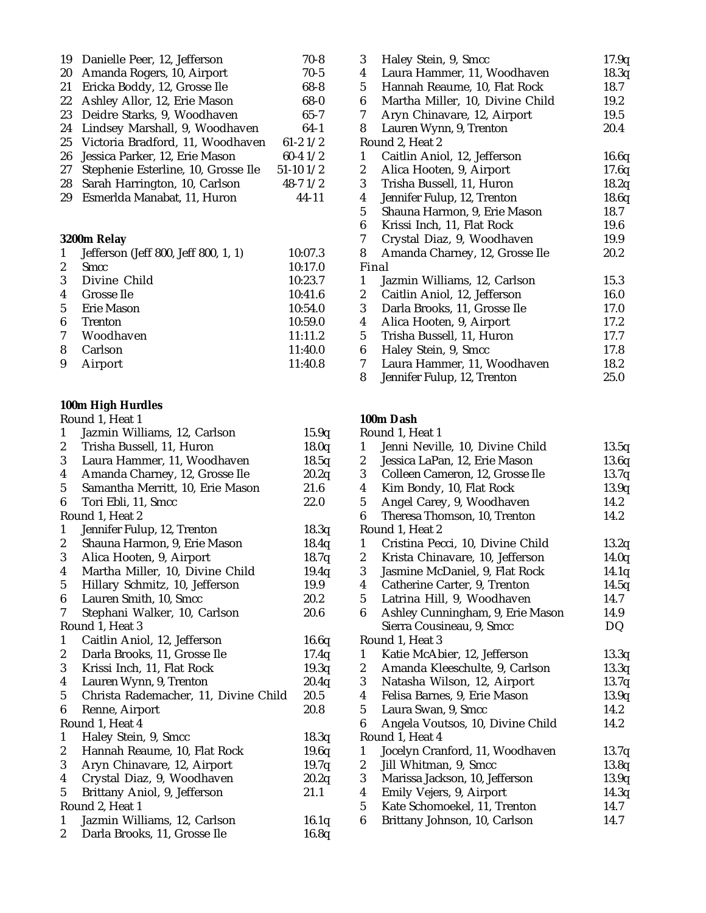| 19 | Danielle Peer, 12, Jefferson         | 70-8          |
|----|--------------------------------------|---------------|
| 20 | Amanda Rogers, 10, Airport           | $70-5$        |
| 21 | Ericka Boddy, 12, Grosse Ile         | $68 - 8$      |
| 22 | Ashley Allor, 12, Erie Mason         | $68 - 0$      |
| 23 | Deidre Starks, 9, Woodhaven          | $65 - 7$      |
| 24 | Lindsey Marshall, 9, Woodhaven       | $64-1$        |
| 25 | Victoria Bradford, 11, Woodhaven     | $61 - 21/2$   |
| 26 | Jessica Parker, 12, Erie Mason       | $60 - 41/2$   |
| 27 | Stephenie Esterline, 10, Grosse Ile  | $51-10$ $1/2$ |
| 28 | Sarah Harrington, 10, Carlson        | $48 - 71/2$   |
| 29 | Esmerlda Manabat, 11, Huron          | $44 - 11$     |
|    |                                      |               |
|    | 3200m Relay                          |               |
|    | Iefferson (Ieff 800, Ieff 800, 1, 1) | 1በ·በ7 የ       |

| 10:17.0 |
|---------|
|         |
| 10:23.7 |
| 10:41.6 |
| 10:54.0 |
| 10:59.0 |
| 11:11.2 |
| 11:40.0 |
|         |

|   | 8 Carlson | 11:40.0 |
|---|-----------|---------|
| 9 | Airport   | 11:40.8 |

### **100m High Hurdles**

|                  | Round 1, Heat 1                      |       |
|------------------|--------------------------------------|-------|
| 1                | Jazmin Williams, 12, Carlson         | 15.9q |
| $\boldsymbol{2}$ | Trisha Bussell, 11, Huron            | 18.0q |
| 3                | Laura Hammer, 11, Woodhaven          | 18.5q |
| 4                | Amanda Charney, 12, Grosse Ile       | 20.2q |
| $\overline{5}$   | Samantha Merritt, 10, Erie Mason     | 21.6  |
| 6                | Tori Ebli, 11, Smcc                  | 22.0  |
|                  | Round 1, Heat 2                      |       |
| 1                | Jennifer Fulup, 12, Trenton          | 18.3q |
| $\boldsymbol{2}$ | Shauna Harmon, 9, Erie Mason         | 18.4q |
| 3                | Alica Hooten, 9, Airport             | 18.7q |
| 4                | Martha Miller, 10, Divine Child      | 19.4q |
| $\overline{5}$   | Hillary Schmitz, 10, Jefferson       | 19.9  |
| 6                | Lauren Smith, 10, Smcc               | 20.2  |
| 7                | Stephani Walker, 10, Carlson         | 20.6  |
|                  | Round 1, Heat 3                      |       |
| $\mathbf{1}$     | Caitlin Aniol, 12, Jefferson         | 16.6q |
| $\boldsymbol{2}$ | Darla Brooks, 11, Grosse Ile         | 17.4q |
| 3                | Krissi Inch, 11, Flat Rock           | 19.3q |
| 4                | Lauren Wynn, 9, Trenton              | 20.4q |
| 5                | Christa Rademacher, 11, Divine Child | 20.5  |
| 6                | Renne, Airport                       | 20.8  |
|                  | Round 1, Heat 4                      |       |
| $\mathbf{1}$     | Haley Stein, 9, Smcc                 | 18.3q |
| 2                | Hannah Reaume, 10, Flat Rock         | 19.6q |
| 3                | Aryn Chinavare, 12, Airport          | 19.7q |
| 4                | Crystal Diaz, 9, Woodhaven           | 20.2q |
| 5                | Brittany Aniol, 9, Jefferson         | 21.1  |
|                  | Round 2, Heat 1                      |       |
| 1                | Jazmin Williams, 12, Carlson         | 16.1q |
| $\overline{c}$   | Darla Brooks, 11, Grosse Ile         | 16.8q |

| Haley Stein, 9, Smcc            | 17.9q                                                  |
|---------------------------------|--------------------------------------------------------|
| Laura Hammer, 11, Woodhaven     | 18.3q                                                  |
| Hannah Reaume, 10, Flat Rock    | 18.7                                                   |
| Martha Miller, 10, Divine Child | 19.2                                                   |
|                                 | 19.5                                                   |
|                                 | 20.4                                                   |
| Round 2, Heat 2                 |                                                        |
| Caitlin Aniol, 12, Jefferson    | 16.6q                                                  |
| Alica Hooten, 9, Airport        | 17.6q                                                  |
| Trisha Bussell, 11, Huron       | 18.2q                                                  |
| Jennifer Fulup, 12, Trenton     | 18.6q                                                  |
| Shauna Harmon, 9, Erie Mason    | 18.7                                                   |
| Krissi Inch, 11, Flat Rock      | 19.6                                                   |
| Crystal Diaz, 9, Woodhaven      | 19.9                                                   |
| Amanda Charney, 12, Grosse Ile  | 20.2                                                   |
| Final                           |                                                        |
| Jazmin Williams, 12, Carlson    | 15.3                                                   |
| Caitlin Aniol, 12, Jefferson    | 16.0                                                   |
| Darla Brooks, 11, Grosse Ile    | 17.0                                                   |
| Alica Hooten, 9, Airport        | 17.2                                                   |
| Trisha Bussell, 11, Huron       | 17.7                                                   |
| Haley Stein, 9, Smcc            | 17.8                                                   |
| Laura Hammer, 11, Woodhaven     | 18.2                                                   |
| Jennifer Fulup, 12, Trenton     | 25.0                                                   |
|                                 | Aryn Chinavare, 12, Airport<br>Lauren Wynn, 9, Trenton |

#### **100m Dash**

# Round 1, Heat 1

| 1              | Jenni Neville, 10, Divine Child  | 13.5q |
|----------------|----------------------------------|-------|
| 2              | Jessica LaPan, 12, Erie Mason    | 13.6q |
| 3              | Colleen Cameron, 12, Grosse Ile  | 13.7q |
| 4              | Kim Bondy, 10, Flat Rock         | 13.9q |
| 5              | Angel Carey, 9, Woodhaven        | 14.2  |
| 6              | Theresa Thomson, 10, Trenton     | 14.2  |
|                | Round 1, Heat 2                  |       |
| 1              | Cristina Pecci, 10, Divine Child | 13.2q |
| 2              | Krista Chinavare, 10, Jefferson  | 14.0q |
| 3              | Jasmine McDaniel, 9, Flat Rock   | 14.1q |
| 4              | Catherine Carter, 9, Trenton     | 14.5q |
| $\overline{5}$ | Latrina Hill, 9, Woodhaven       | 14.7  |
| 6              | Ashley Cunningham, 9, Erie Mason | 14.9  |
|                | Sierra Cousineau, 9, Smcc        | DQ    |
|                | Round 1, Heat 3                  |       |
| 1              | Katie McAbier, 12, Jefferson     | 13.3q |
| 2              | Amanda Kleeschulte, 9, Carlson   | 13.3q |
| 3              | Natasha Wilson, 12, Airport      | 13.7q |
| 4              | Felisa Barnes, 9, Erie Mason     | 13.9q |
| 5              | Laura Swan, 9, Smcc              | 14.2  |
| 6              | Angela Voutsos, 10, Divine Child | 14.2  |
|                | Round 1, Heat 4                  |       |
| 1              | Jocelyn Cranford, 11, Woodhaven  | 13.7q |
| 2              | Jill Whitman, 9, Smcc            | 13.8q |
| 3              | Marissa Jackson, 10, Jefferson   | 13.9q |
| 4              | Emily Vejers, 9, Airport         | 14.3q |
| $\overline{5}$ | Kate Schomoekel, 11, Trenton     | 14.7  |
| 6              | Brittany Johnson, 10, Carlson    | 14.7  |
|                |                                  |       |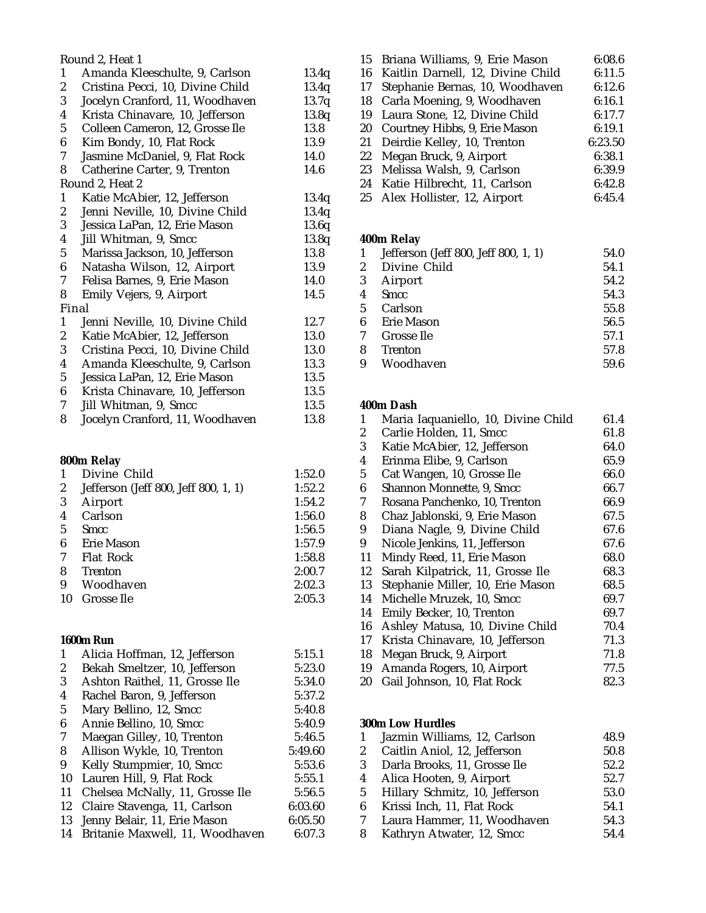|                  | Round 2, Heat 1                  |       |
|------------------|----------------------------------|-------|
| $\mathbf{1}$     | Amanda Kleeschulte, 9, Carlson   | 13.4q |
| $\boldsymbol{2}$ | Cristina Pecci, 10, Divine Child | 13.4q |
| 3                | Jocelyn Cranford, 11, Woodhaven  | 13.7q |
| 4                | Krista Chinavare, 10, Jefferson  | 13.8q |
| 5                | Colleen Cameron, 12, Grosse Ile  | 13.8  |
| 6                | Kim Bondy, 10, Flat Rock         | 13.9  |
| 7                | Jasmine McDaniel, 9, Flat Rock   | 14.0  |
| 8                | Catherine Carter, 9, Trenton     | 14.6  |
|                  | Round 2, Heat 2                  |       |
| 1                | Katie McAbier, 12, Jefferson     | 13.4q |
| $\boldsymbol{2}$ | Jenni Neville, 10, Divine Child  | 13.4q |
| 3                | Jessica LaPan, 12, Erie Mason    | 13.6q |
| 4                | Jill Whitman, 9, Smcc            | 13.8q |
| $5\phantom{.0}$  | Marissa Jackson, 10, Jefferson   | 13.8  |
| 6                | Natasha Wilson, 12, Airport      | 13.9  |
| 7                | Felisa Barnes, 9, Erie Mason     | 14.0  |
| 8                | Emily Vejers, 9, Airport         | 14.5  |
|                  | Final                            |       |
| $\mathbf{1}$     | Jenni Neville, 10, Divine Child  | 12.7  |
| $\boldsymbol{2}$ | Katie McAbier, 12, Jefferson     | 13.0  |
| 3                | Cristina Pecci, 10, Divine Child | 13.0  |
| 4                | Amanda Kleeschulte, 9, Carlson   | 13.3  |
| $\mathbf 5$      | Jessica LaPan, 12, Erie Mason    | 13.5  |
| 6                | Krista Chinavare, 10, Jefferson  | 13.5  |
| 7                | Jill Whitman, 9, Smcc            | 13.5  |
| 8                | Jocelyn Cranford, 11, Woodhaven  | 13.8  |

#### **800m Relay**

|    | Divine Child                         | 1:52.0 |
|----|--------------------------------------|--------|
| 2  | Jefferson (Jeff 800, Jeff 800, 1, 1) | 1:52.2 |
| 3  | Airport                              | 1:54.2 |
| 4  | Carlson                              | 1:56.0 |
| 5  | Smcc                                 | 1:56.5 |
| 6  | Erie Mason                           | 1:57.9 |
| 7  | <b>Flat Rock</b>                     | 1:58.8 |
| 8  | <b>Trenton</b>                       | 2:00.7 |
| 9  | Woodhaven                            | 2:02.3 |
| 10 | Grosse Ile                           | 2:05.3 |
|    |                                      |        |

#### **1600m Run**

| 1  | Alicia Hoffman, 12, Jefferson   | 5:15.1  |
|----|---------------------------------|---------|
| 2  | Bekah Smeltzer, 10, Jefferson   | 5:23.0  |
| 3  | Ashton Raithel, 11, Grosse Ile  | 5:34.0  |
| 4  | Rachel Baron, 9, Jefferson      | 5:37.2  |
| 5  | Mary Bellino, 12, Smcc          | 5:40.8  |
| 6  | Annie Bellino, 10, Smcc         | 5:40.9  |
| 7  | Maegan Gilley, 10, Trenton      | 5:46.5  |
| 8  | Allison Wykle, 10, Trenton      | 5:49.60 |
| 9  | Kelly Stumpmier, 10, Smcc       | 5:53.6  |
| 10 | Lauren Hill, 9, Flat Rock       | 5:55.1  |
| 11 | Chelsea McNally, 11, Grosse Ile | 5:56.5  |
| 12 | Claire Stavenga, 11, Carlson    | 6:03.60 |
| 13 | Jenny Belair, 11, Erie Mason    | 6:05.50 |
| 14 | Britanie Maxwell, 11, Woodhaven | 6:07.3  |
|    |                                 |         |

|    | 15 Briana Williams, 9, Erie Mason    | 6:08.6  |
|----|--------------------------------------|---------|
|    | 16 Kaitlin Darnell, 12, Divine Child | 6:11.5  |
| 17 | Stephanie Bernas, 10, Woodhaven      | 6:12.6  |
|    | 18 Carla Moening, 9, Woodhaven       | 6:16.1  |
|    | 19 Laura Stone, 12, Divine Child     | 6:17.7  |
|    | 20 Courtney Hibbs, 9, Erie Mason     | 6:19.1  |
|    | 21 Deirdie Kelley, 10, Trenton       | 6:23.50 |
| 22 | Megan Bruck, 9, Airport              | 6:38.1  |
|    | 23 Melissa Walsh, 9, Carlson         | 6:39.9  |
| 24 | Katie Hilbrecht, 11, Carlson         | 6:42.8  |
|    | 25 Alex Hollister, 12, Airport       | 6:45.4  |

#### **400m Relay**

| 1 | Jefferson (Jeff 800, Jeff 800, 1, 1) | 54.0 |
|---|--------------------------------------|------|
| 2 | Divine Child                         | 54.1 |
| 3 | Airport                              | 54.2 |
| 4 | <b>Smcc</b>                          | 54.3 |
| 5 | Carlson                              | 55.8 |
| 6 | Erie Mason                           | 56.5 |
| 7 | Grosse Ile                           | 57.1 |
| 8 | <b>Trenton</b>                       | 57.8 |
| 9 | Woodhaven                            | 59.6 |

#### **400m Dash**

| 1  | Maria Iaquaniello, 10, Divine Child | 61.4 |
|----|-------------------------------------|------|
| 2  | Carlie Holden, 11, Smcc             | 61.8 |
| 3  | Katie McAbier, 12, Jefferson        | 64.0 |
| 4  | Erinma Elibe, 9, Carlson            | 65.9 |
| 5  | Cat Wangen, 10, Grosse Ile          | 66.0 |
| 6  | Shannon Monnette, 9, Smcc           | 66.7 |
| 7  | Rosana Panchenko, 10, Trenton       | 66.9 |
| 8  | Chaz Jablonski, 9, Erie Mason       | 67.5 |
| 9  | Diana Nagle, 9, Divine Child        | 67.6 |
| 9  | Nicole Jenkins, 11, Jefferson       | 67.6 |
| 11 | Mindy Reed, 11, Erie Mason          | 68.0 |
| 12 | Sarah Kilpatrick, 11, Grosse Ile    | 68.3 |
| 13 | Stephanie Miller, 10, Erie Mason    | 68.5 |
| 14 | Michelle Mruzek, 10, Smcc           | 69.7 |
| 14 | Emily Becker, 10, Trenton           | 69.7 |
| 16 | Ashley Matusa, 10, Divine Child     | 70.4 |
| 17 | Krista Chinavare, 10, Jefferson     | 71.3 |
| 18 | Megan Bruck, 9, Airport             | 71.8 |
| 19 | Amanda Rogers, 10, Airport          | 77.5 |
| 20 | Gail Johnson, 10, Flat Rock         | 82.3 |
|    |                                     |      |

### **300m Low Hurdles**

|   | Jazmin Williams, 12, Carlson   | 48.9 |
|---|--------------------------------|------|
| 2 | Caitlin Aniol, 12, Jefferson   | 50.8 |
| 3 | Darla Brooks, 11, Grosse Ile   | 52.2 |
| 4 | Alica Hooten, 9, Airport       | 52.7 |
| 5 | Hillary Schmitz, 10, Jefferson | 53.0 |
| 6 | Krissi Inch, 11, Flat Rock     | 54.1 |
| 7 | Laura Hammer, 11, Woodhaven    | 54.3 |
| 8 | Kathryn Atwater, 12, Smcc      | 54.4 |
|   |                                |      |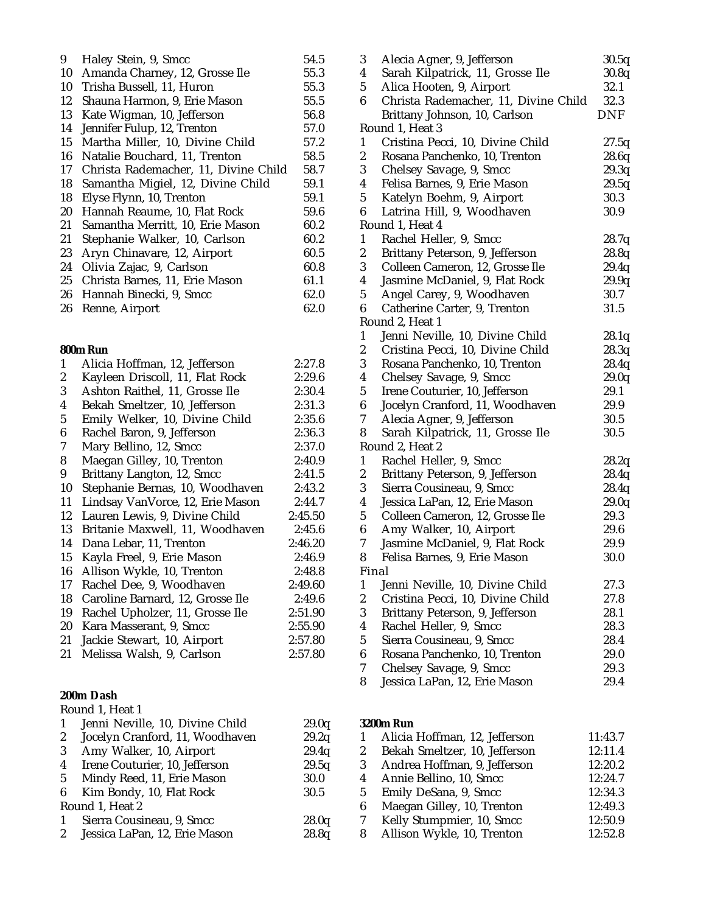| 9  | Haley Stein, 9, Smcc                 | 54.5 |
|----|--------------------------------------|------|
| 10 | Amanda Charney, 12, Grosse Ile       | 55.3 |
| 10 | Trisha Bussell, 11, Huron            | 55.3 |
| 12 | Shauna Harmon, 9, Erie Mason         | 55.5 |
| 13 | Kate Wigman, 10, Jefferson           | 56.8 |
| 14 | Jennifer Fulup, 12, Trenton          | 57.0 |
| 15 | Martha Miller, 10, Divine Child      | 57.2 |
| 16 | Natalie Bouchard, 11, Trenton        | 58.5 |
| 17 | Christa Rademacher, 11, Divine Child | 58.7 |
| 18 | Samantha Migiel, 12, Divine Child    | 59.1 |
| 18 | Elyse Flynn, 10, Trenton             | 59.1 |
| 20 | Hannah Reaume, 10, Flat Rock         | 59.6 |
| 21 | Samantha Merritt, 10, Erie Mason     | 60.2 |
| 21 | Stephanie Walker, 10, Carlson        | 60.2 |
| 23 | Aryn Chinavare, 12, Airport          | 60.5 |
| 24 | Olivia Zajac, 9, Carlson             | 60.8 |
| 25 | Christa Barnes, 11, Erie Mason       | 61.1 |
| 26 | Hannah Binecki, 9, Smcc              | 62.0 |
| 26 | Renne, Airport                       | 62.0 |
|    |                                      |      |

#### **800m Run**

| 1                | Alicia Hoffman, 12, Jefferson    | 2:27.8  |
|------------------|----------------------------------|---------|
| $\boldsymbol{2}$ | Kayleen Driscoll, 11, Flat Rock  | 2:29.6  |
| 3                | Ashton Raithel, 11, Grosse Ile   | 2:30.4  |
| 4                | Bekah Smeltzer, 10, Jefferson    | 2:31.3  |
| $\mathbf 5$      | Emily Welker, 10, Divine Child   | 2:35.6  |
| 6                | Rachel Baron, 9, Jefferson       | 2:36.3  |
| 7                | Mary Bellino, 12, Smcc           | 2:37.0  |
| 8                | Maegan Gilley, 10, Trenton       | 2:40.9  |
| 9                | Brittany Langton, 12, Smcc       | 2:41.5  |
| 10               | Stephanie Bernas, 10, Woodhaven  | 2:43.2  |
| 11               | Lindsay VanVorce, 12, Erie Mason | 2:44.7  |
| 12               | Lauren Lewis, 9, Divine Child    | 2:45.50 |
| 13               | Britanie Maxwell, 11, Woodhaven  | 2:45.6  |
| 14               | Dana Lebar, 11, Trenton          | 2:46.20 |
| 15               | Kayla Freel, 9, Erie Mason       | 2:46.9  |
| 16               | Allison Wykle, 10, Trenton       | 2:48.8  |
| 17               | Rachel Dee, 9, Woodhaven         | 2:49.60 |
| 18               | Caroline Barnard, 12, Grosse Ile | 2:49.6  |
| 19               | Rachel Upholzer, 11, Grosse Ile  | 2:51.90 |
| 20               | Kara Masserant, 9, Smcc          | 2:55.90 |
| 21               | Jackie Stewart, 10, Airport      | 2:57.80 |
| 21               | Melissa Walsh, 9, Carlson        | 2:57.80 |
|                  | 200m Dach                        |         |
|                  |                                  |         |

#### **200m Dash**

|                | Round 1, Heat 1                 |       |
|----------------|---------------------------------|-------|
| 1              | Jenni Neville, 10, Divine Child | 29.0q |
| $\mathbf{2}$   | Jocelyn Cranford, 11, Woodhaven | 29.2q |
| 3              | Amy Walker, 10, Airport         | 29.4q |
| $\overline{4}$ | Irene Couturier, 10, Jefferson  | 29.5q |
| 5 <sup>5</sup> | Mindy Reed, 11, Erie Mason      | 30.0  |
| 6              | Kim Bondy, 10, Flat Rock        | 30.5  |
|                | Round 1, Heat 2                 |       |
| $\mathbf{1}$   | Sierra Cousineau, 9, Smcc       | 28.0q |
|                | 2 Jessica LaPan, 12, Erie Mason | 28.8q |

| 3                | Alecia Agner, 9, Jefferson           | 30.5q |
|------------------|--------------------------------------|-------|
| 4                | Sarah Kilpatrick, 11, Grosse Ile     | 30.8q |
| $\sqrt{5}$       | Alica Hooten, 9, Airport             | 32.1  |
| 6                | Christa Rademacher, 11, Divine Child | 32.3  |
|                  | Brittany Johnson, 10, Carlson        | DNF   |
|                  | Round 1, Heat 3                      |       |
| $\mathbf{1}$     | Cristina Pecci, 10, Divine Child     | 27.5q |
| 2                | Rosana Panchenko, 10, Trenton        | 28.6q |
| 3                | Chelsey Savage, 9, Smcc              | 29.3q |
| 4                | Felisa Barnes, 9, Erie Mason         | 29.5q |
| 5                | Katelyn Boehm, 9, Airport            | 30.3  |
| 6                | Latrina Hill, 9, Woodhaven           | 30.9  |
|                  | Round 1, Heat 4                      |       |
| $\mathbf{1}$     | Rachel Heller, 9, Smcc               | 28.7q |
| $\boldsymbol{2}$ | Brittany Peterson, 9, Jefferson      | 28.8q |
| 3                | Colleen Cameron, 12, Grosse Ile      | 29.4q |
| 4                | Jasmine McDaniel, 9, Flat Rock       | 29.9q |
| 5                | Angel Carey, 9, Woodhaven            | 30.7  |
| 6                | Catherine Carter, 9, Trenton         | 31.5  |
|                  | Round 2, Heat 1                      |       |
| $\mathbf{1}$     | Jenni Neville, 10, Divine Child      | 28.1q |
| $\boldsymbol{2}$ | Cristina Pecci, 10, Divine Child     | 28.3q |
| 3                | Rosana Panchenko, 10, Trenton        | 28.4q |
| 4                | Chelsey Savage, 9, Smcc              | 29.0q |
| 5                | Irene Couturier, 10, Jefferson       | 29.1  |
| 6                | Jocelyn Cranford, 11, Woodhaven      | 29.9  |
| 7                | Alecia Agner, 9, Jefferson           | 30.5  |
| 8                | Sarah Kilpatrick, 11, Grosse Ile     | 30.5  |
|                  | Round 2, Heat 2                      |       |
| $\mathbf{1}$     | Rachel Heller, 9, Smcc               | 28.2q |
| $\boldsymbol{2}$ | Brittany Peterson, 9, Jefferson      | 28.4q |
| 3                | Sierra Cousineau, 9, Smcc            | 28.4q |
| 4                | Jessica LaPan, 12, Erie Mason        | 29.0q |
| 5                | Colleen Cameron, 12, Grosse Ile      | 29.3  |
| 6                | Amy Walker, 10, Airport              | 29.6  |
| 7                | Jasmine McDaniel, 9, Flat Rock       | 29.9  |
| 8                | Felisa Barnes, 9, Erie Mason         | 30.0  |
| Final            |                                      |       |
| 1                | Jenni Neville, 10, Divine Child      | 27.3  |
| $\boldsymbol{2}$ | Cristina Pecci, 10, Divine Child     | 27.8  |
| 3                | Brittany Peterson, 9, Jefferson      | 28.1  |
| 4                | Rachel Heller, 9, Smcc               | 28.3  |
| 5                | Sierra Cousineau, 9, Smcc            | 28.4  |
| 6                | Rosana Panchenko, 10, Trenton        | 29.0  |
| 7                | Chelsey Savage, 9, Smcc              | 29.3  |
| 8                | Jessica LaPan, 12, Erie Mason        | 29.4  |
|                  |                                      |       |

## **3200m Run**

|   | Alicia Hoffman, 12, Jefferson | 11:43.7 |
|---|-------------------------------|---------|
| 2 | Bekah Smeltzer, 10, Jefferson | 12:11.4 |
| 3 | Andrea Hoffman, 9, Jefferson  | 12:20.2 |
| 4 | Annie Bellino, 10, Smcc       | 12:24.7 |
| 5 | Emily DeSana, 9, Smcc         | 12:34.3 |
| 6 | Maegan Gilley, 10, Trenton    | 12:49.3 |
| 7 | Kelly Stumpmier, 10, Smcc     | 12:50.9 |
| 8 | Allison Wykle, 10, Trenton    | 12:52.8 |
|   |                               |         |